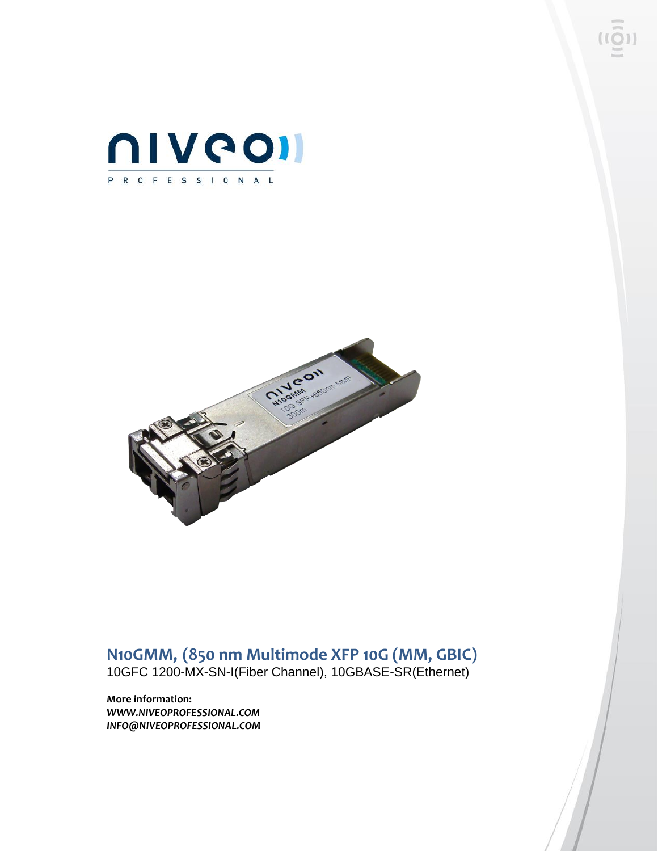



# **N10GMM, (850 nm Multimode XFP 10G (MM, GBIC)**

10GFC 1200-MX-SN-I(Fiber Channel), 10GBASE-SR(Ethernet)

**More information:** *WWW.NIVEOPROFESSIONAL.COM INFO@NIVEOPROFESSIONAL.COM*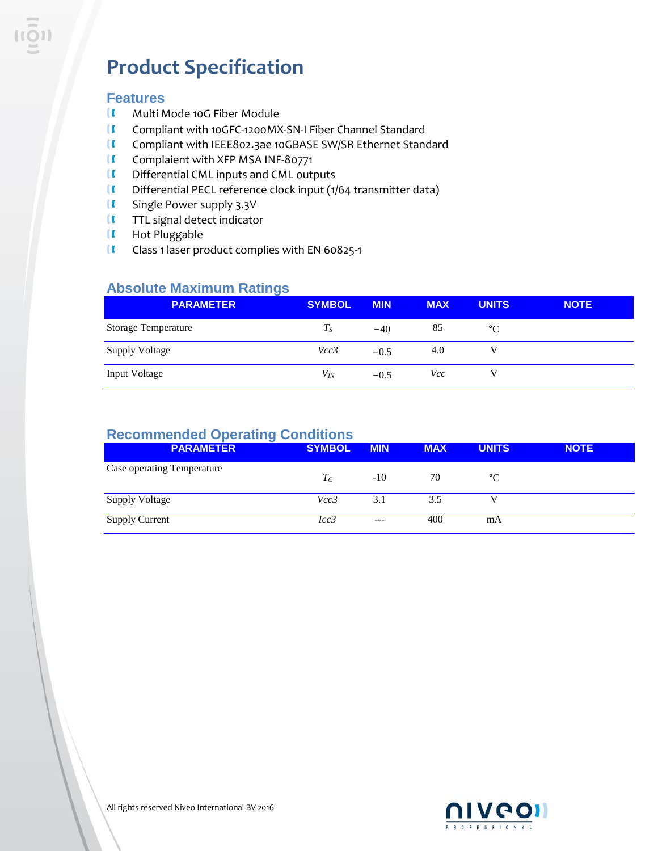# **Product Specification**

### **Features**

- $\mathbf{u}$ Multi Mode 10G Fiber Module
- $\mathbf{u}$ Compliant with 10GFC-1200MX-SN-I Fiber Channel Standard
- $\mathbf{I}$ Compliant with IEEE802.3ae 10GBASE SW/SR Ethernet Standard
- $\blacksquare$ Complaient with XFP MSA INF-80771
- $\mathbf{u}$ Differential CML inputs and CML outputs
- $\blacksquare$ Differential PECL reference clock input (1/64 transmitter data)
- $\mathbf{u}$ Single Power supply 3.3V
- $\blacksquare$ TTL signal detect indicator
- II Hot Pluggable
- $\blacksquare$ Class 1 laser product complies with EN 60825-1

### **Absolute Maximum Ratings**

| <b>PARAMETER</b>           | <b>SYMBOL</b> | <b>MIN</b> | <b>MAX</b> | <b>UNITS</b> | <b>NOTE</b> |
|----------------------------|---------------|------------|------------|--------------|-------------|
| <b>Storage Temperature</b> | $T_S$         | $-40$      | 85         | $^{\circ}C$  |             |
| <b>Supply Voltage</b>      | Vcc3          | $-0.5$     | 4.0        |              |             |
| <b>Input Voltage</b>       | $V_{lN}$      | $-0.5$     | Vcc        |              |             |

## **Recommended Operating Conditions**

| <b>PARAMETER</b>           | <b>SYMBOL</b> | <b>MIN</b> | <b>MAX</b> | <b>UNITS</b> | <b>NOTE</b> |
|----------------------------|---------------|------------|------------|--------------|-------------|
| Case operating Temperature | $T_C$         | $-10$      | 70         | $^{\circ}C$  |             |
| <b>Supply Voltage</b>      | Vcc3          | 3.1        | 3.5        |              |             |
| <b>Supply Current</b>      | Icc3          | $---$      | 400        | mA           |             |

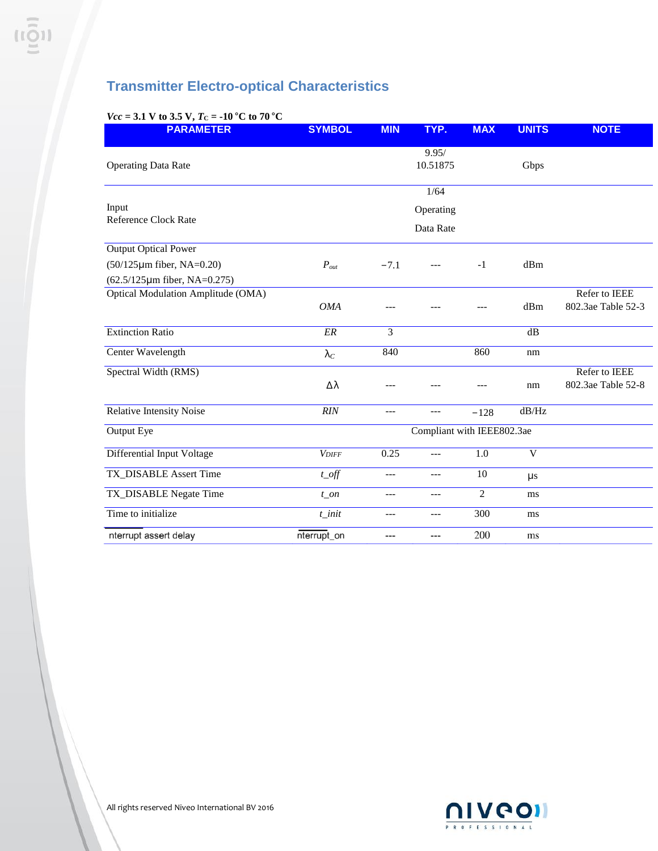# **Transmitter Electro-optical Characteristics**

### *Vcc* = 3.1 V to 3.5 V,  $T_c$  = -10 °C to 70 °C

| <b>PARAMETER</b>                                                        | <b>SYMBOL</b>              | <b>MIN</b> | TYP.                           | <b>MAX</b>     | <b>UNITS</b> | <b>NOTE</b>                         |  |  |
|-------------------------------------------------------------------------|----------------------------|------------|--------------------------------|----------------|--------------|-------------------------------------|--|--|
| <b>Operating Data Rate</b>                                              |                            |            | 9.95/<br>10.51875              |                | Gbps         |                                     |  |  |
| Input<br><b>Reference Clock Rate</b>                                    |                            |            | 1/64<br>Operating<br>Data Rate |                |              |                                     |  |  |
| <b>Output Optical Power</b>                                             |                            |            |                                |                |              |                                     |  |  |
| $(50/125 \mu m)$ fiber, NA=0.20)<br>$(62.5/125 \mu m)$ fiber, NA=0.275) | $P_{out}$                  | $-7.1$     | $---$                          | $-1$           | dBm          |                                     |  |  |
| <b>Optical Modulation Amplitude (OMA)</b>                               | <b>OMA</b>                 |            |                                |                | dBm          | Refer to IEEE<br>802.3ae Table 52-3 |  |  |
| <b>Extinction Ratio</b>                                                 | ER                         | 3          |                                |                | dB           |                                     |  |  |
| Center Wavelength                                                       | $\lambda_C$                | 840        |                                | 860            | nm           |                                     |  |  |
| Spectral Width (RMS)                                                    | Δλ                         |            |                                |                | nm           | Refer to IEEE<br>802.3ae Table 52-8 |  |  |
| Relative Intensity Noise                                                | <b>RIN</b>                 | $---$      | $---$                          | $-128$         | dB/Hz        |                                     |  |  |
| Output Eye                                                              | Compliant with IEEE802.3ae |            |                                |                |              |                                     |  |  |
| Differential Input Voltage                                              | <b>VDIFF</b>               | 0.25       | $---$                          | 1.0            | $\mathbf V$  |                                     |  |  |
| <b>TX_DISABLE Assert Time</b>                                           | $t$ <sub>_O</sub> ff       | $---$      | $---$                          | 10             | $\mu s$      |                                     |  |  |
| TX_DISABLE Negate Time                                                  | $t\_on$                    | ---        | $---$                          | $\overline{2}$ | ms           |                                     |  |  |
| Time to initialize                                                      | $t$ _init                  | ---        | $---$                          | 300            | ms           |                                     |  |  |
| nterrupt assert delay                                                   | nterrupt_on                | ---        | ---                            | 200            | ms           |                                     |  |  |